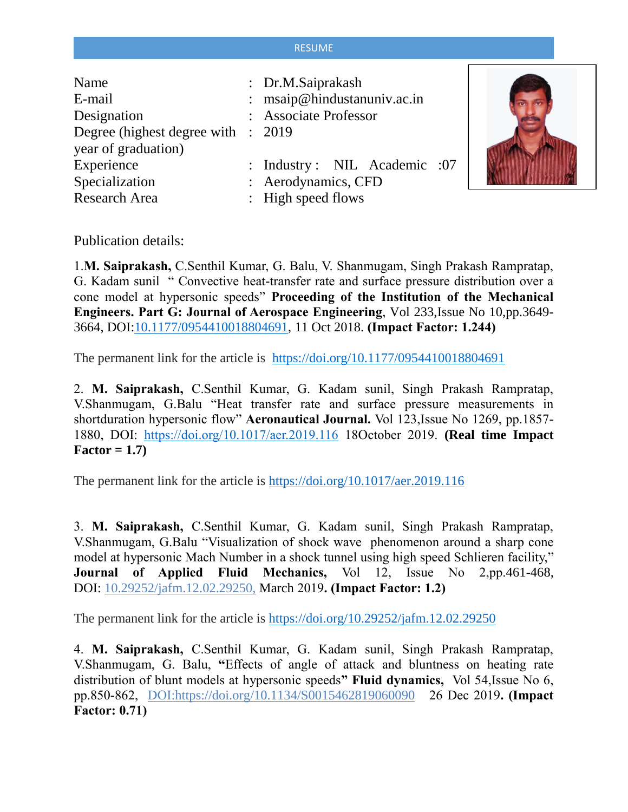## **RESUME**

| Name<br>E-mail<br>Designation<br>Degree (highest degree with : 2019)<br>year of graduation) | : Dr.M.Saiprakash<br>: msaip@hindustanuniv.ac.in<br>: Associate Professor |  |
|---------------------------------------------------------------------------------------------|---------------------------------------------------------------------------|--|
| Experience                                                                                  | : Industry: NIL Academic :07                                              |  |
| Specialization                                                                              | : Aerodynamics, CFD                                                       |  |
| <b>Research Area</b>                                                                        | : High speed flows                                                        |  |

Publication details:

1.**M. Saiprakash,** C.Senthil Kumar, G. Balu, V. Shanmugam, Singh Prakash Rampratap, G. Kadam sunil " Convective heat-transfer rate and surface pressure distribution over a cone model at hypersonic speeds" **Proceeding of the Institution of the Mechanical Engineers. Part G: Journal of Aerospace Engineering**, Vol 233,Issue No 10,pp.3649- 3664, DOI[:10.1177/0954410018804691,](https://doi.org/10.1177%2F0954410018804691) 11 Oct 2018. **(Impact Factor: 1.244)**

The permanent link for the article is [https://doi.org/10.1177/0954410018804691](https://doi.org/10.1177%2F0954410018804691)

2. **M. Saiprakash,** C.Senthil Kumar, G. Kadam sunil, Singh Prakash Rampratap, V.Shanmugam, G.Balu "Heat transfer rate and surface pressure measurements in shortduration hypersonic flow" **Aeronautical Journal.** Vol 123,Issue No 1269, pp.1857- 1880, DOI: <https://doi.org/10.1017/aer.2019.116> 18October 2019. **(Real time Impact Factor = 1.7)**

The permanent link for the article is <https://doi.org/10.1017/aer.2019.116>

3. **M. Saiprakash,** C.Senthil Kumar, G. Kadam sunil, Singh Prakash Rampratap, V.Shanmugam, G.Balu "Visualization of shock wave phenomenon around a sharp cone model at hypersonic Mach Number in a shock tunnel using high speed Schlieren facility," **Journal of Applied Fluid Mechanics,** Vol 12, Issue No 2,pp.461-468, DOI: 10.29252/jafm.12.02.29250, March 2019**. (Impact Factor: 1.2)** 

The permanent link for the article is <https://doi.org/10.29252/jafm.12.02.29250>

4. **M. Saiprakash,** C.Senthil Kumar, G. Kadam sunil, Singh Prakash Rampratap, V.Shanmugam, G. Balu, **"**Effects of angle of attack and bluntness on heating rate distribution of blunt models at hypersonic speeds**" Fluid dynamics,** Vol 54,Issue No 6, pp.850-862, DOI:https://doi.org/10.1134/S0015462819060090 26 Dec 2019**. (Impact Factor: 0.71)**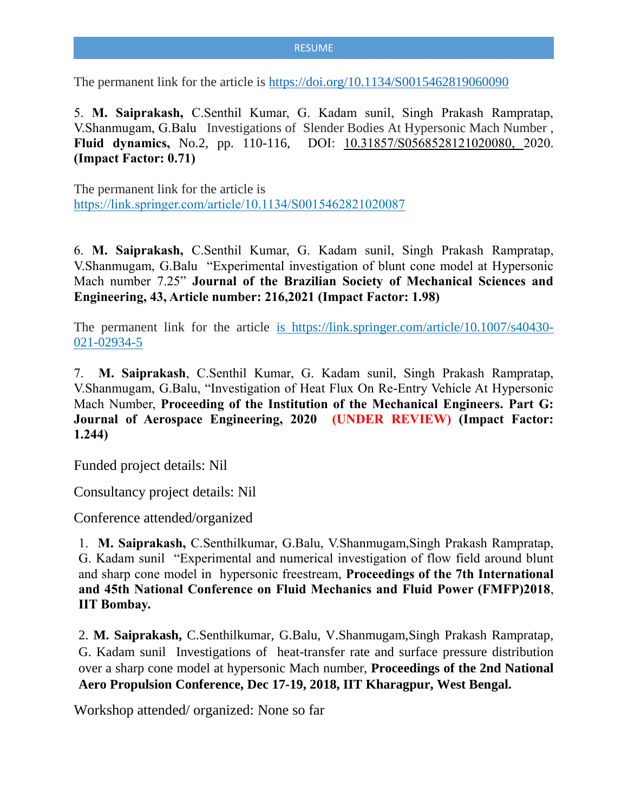## **RESUME**

The permanent link for the article is <https://doi.org/10.1134/S0015462819060090>

5. **M. Saiprakash,** C.Senthil Kumar, G. Kadam sunil, Singh Prakash Rampratap, V.Shanmugam, G.Balu Investigations of Slender Bodies At Hypersonic Mach Number , **Fluid dynamics,** No.2, pp. 110-116, DOI: 10.31857/S0568528121020080, 2020. **(Impact Factor: 0.71)** 

The permanent link for the article is https://link.springer.com/article/10.1134/S0015462821020087

6. **M. Saiprakash,** C.Senthil Kumar, G. Kadam sunil, Singh Prakash Rampratap, V.Shanmugam, G.Balu "Experimental investigation of blunt cone model at Hypersonic Mach number 7.25" **Journal of the Brazilian Society of Mechanical Sciences and Engineering, 43, Article number: 216,2021 (Impact Factor: 1.98)**

The permanent link for the article is https://link.springer.com/article/10.1007/s40430- 021-02934-5

7. **M. Saiprakash**, C.Senthil Kumar, G. Kadam sunil, Singh Prakash Rampratap, V.Shanmugam, G.Balu, "Investigation of Heat Flux On Re-Entry Vehicle At Hypersonic Mach Number, **Proceeding of the Institution of the Mechanical Engineers. Part G: Journal of Aerospace Engineering, 2020 (UNDER REVIEW) (Impact Factor: 1.244)**

Funded project details: Nil

Consultancy project details: Nil

Conference attended/organized

1. **M. Saiprakash,** C.Senthilkumar, G.Balu, V.Shanmugam,Singh Prakash Rampratap, G. Kadam sunil "Experimental and numerical investigation of flow field around blunt and sharp cone model in hypersonic freestream, **Proceedings of the 7th International and 45th National Conference on Fluid Mechanics and Fluid Power (FMFP)2018**, **IIT Bombay.**

2. **M. Saiprakash,** C.Senthilkumar, G.Balu, V.Shanmugam,Singh Prakash Rampratap, G. Kadam sunil Investigations of heat-transfer rate and surface pressure distribution over a sharp cone model at hypersonic Mach number, **Proceedings of the 2nd National Aero Propulsion Conference, Dec 17-19, 2018, IIT Kharagpur, West Bengal.**

Workshop attended/ organized: None so far